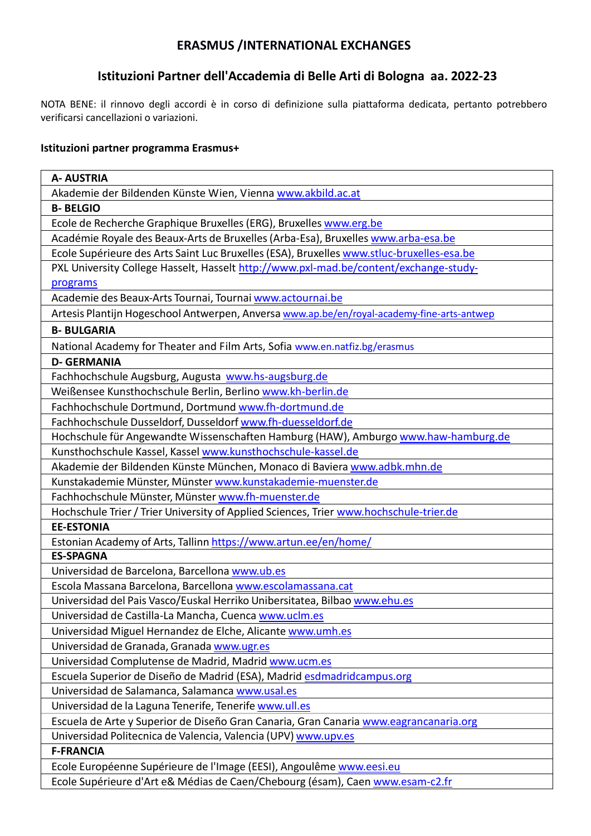## **ERASMUS /INTERNATIONAL EXCHANGES**

# **Istituzioni Partner dell'Accademia di Belle Arti di Bologna aa. 2022-23**

NOTA BENE: il rinnovo degli accordi è in corso di definizione sulla piattaforma dedicata, pertanto potrebbero verificarsi cancellazioni o variazioni.

#### **Istituzioni partner programma Erasmus+**

| <b>A- AUSTRIA</b>                                                                          |
|--------------------------------------------------------------------------------------------|
| Akademie der Bildenden Künste Wien, Vienna www.akbild.ac.at                                |
| <b>B-BELGIO</b>                                                                            |
| Ecole de Recherche Graphique Bruxelles (ERG), Bruxelles www.erg.be                         |
| Académie Royale des Beaux-Arts de Bruxelles (Arba-Esa), Bruxelles www.arba-esa.be          |
| Ecole Supérieure des Arts Saint Luc Bruxelles (ESA), Bruxelles www.stluc-bruxelles-esa.be  |
| PXL University College Hasselt, Hasselt http://www.pxl-mad.be/content/exchange-study-      |
| programs                                                                                   |
| Academie des Beaux-Arts Tournai, Tournai www.actournai.be                                  |
| Artesis Plantijn Hogeschool Antwerpen, Anversa www.ap.be/en/royal-academy-fine-arts-antwep |
| <b>B-BULGARIA</b>                                                                          |
| National Academy for Theater and Film Arts, Sofia www.en.natfiz.bg/erasmus                 |
| <b>D- GERMANIA</b>                                                                         |
| Fachhochschule Augsburg, Augusta www.hs-augsburg.de                                        |
| Weißensee Kunsthochschule Berlin, Berlino www.kh-berlin.de                                 |
| Fachhochschule Dortmund, Dortmund www.fh-dortmund.de                                       |
| Fachhochschule Dusseldorf, Dusseldorf www.fh-duesseldorf.de                                |
| Hochschule für Angewandte Wissenschaften Hamburg (HAW), Amburgo www.haw-hamburg.de         |
| Kunsthochschule Kassel, Kassel www.kunsthochschule-kassel.de                               |
| Akademie der Bildenden Künste München, Monaco di Baviera www.adbk.mhn.de                   |
| Kunstakademie Münster, Münster www.kunstakademie-muenster.de                               |
| Fachhochschule Münster, Münster www.fh-muenster.de                                         |
| Hochschule Trier / Trier University of Applied Sciences, Trier www.hochschule-trier.de     |
| <b>EE-ESTONIA</b>                                                                          |
| Estonian Academy of Arts, Tallinn https://www.artun.ee/en/home/                            |
| <b>ES-SPAGNA</b>                                                                           |
| Universidad de Barcelona, Barcellona www.ub.es                                             |
| Escola Massana Barcelona, Barcellona www.escolamassana.cat                                 |
| Universidad del Pais Vasco/Euskal Herriko Unibersitatea, Bilbao www.ehu.es                 |
| Universidad de Castilla-La Mancha, Cuenca www.uclm.es                                      |
| Universidad Miguel Hernandez de Elche, Alicante www.umh.es                                 |
| Universidad de Granada, Granada www.ugr.es                                                 |
| Universidad Complutense de Madrid, Madrid www.ucm.es                                       |
| Escuela Superior de Diseño de Madrid (ESA), Madrid esdmadridcampus.org                     |
| Universidad de Salamanca, Salamanca www.usal.es                                            |
| Universidad de la Laguna Tenerife, Tenerife www.ull.es                                     |
| Escuela de Arte y Superior de Diseño Gran Canaria, Gran Canaria www.eagrancanaria.org      |
| Universidad Politecnica de Valencia, Valencia (UPV) www.upv.es                             |
| <b>F-FRANCIA</b>                                                                           |
| Ecole Européenne Supérieure de l'Image (EESI), Angoulême www.eesi.eu                       |
| Ecole Supérieure d'Art e& Médias de Caen/Chebourg (ésam), Caen www.esam-c2.fr              |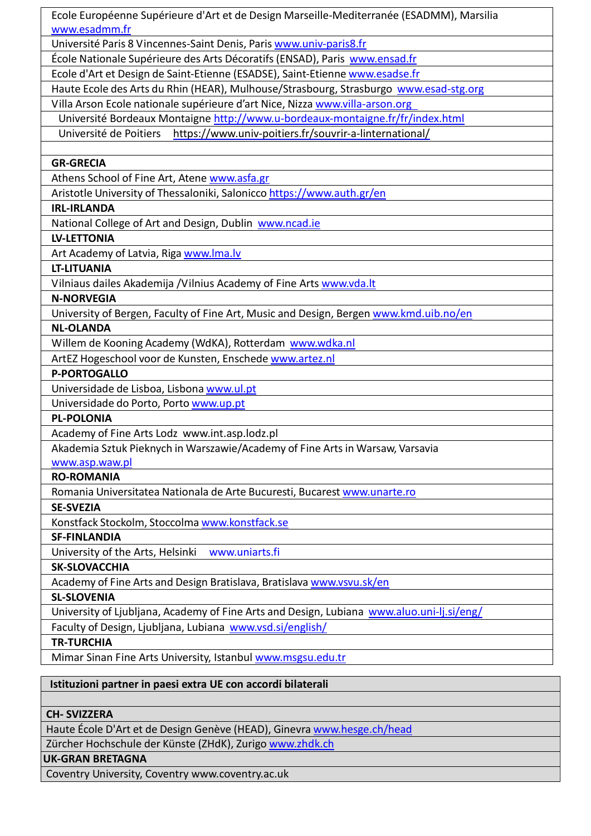| Ecole Européenne Supérieure d'Art et de Design Marseille-Mediterranée (ESADMM), Marsilia  |
|-------------------------------------------------------------------------------------------|
| www.esadmm.fr                                                                             |
| Université Paris 8 Vincennes-Saint Denis, Paris www.univ-paris8.fr                        |
| École Nationale Supérieure des Arts Décoratifs (ENSAD), Paris www.ensad.fr                |
| Ecole d'Art et Design de Saint-Etienne (ESADSE), Saint-Etienne www.esadse.fr              |
| Haute Ecole des Arts du Rhin (HEAR), Mulhouse/Strasbourg, Strasburgo www.esad-stg.org     |
| Villa Arson Ecole nationale supérieure d'art Nice, Nizza www.villa-arson.org              |
| Université Bordeaux Montaigne http://www.u-bordeaux-montaigne.fr/fr/index.html            |
| Université de Poitiers https://www.univ-poitiers.fr/souvrir-a-linternational/             |
|                                                                                           |
| <b>GR-GRECIA</b>                                                                          |
| Athens School of Fine Art, Atene www.asfa.gr                                              |
| Aristotle University of Thessaloniki, Salonicco https://www.auth.gr/en                    |
| <b>IRL-IRLANDA</b>                                                                        |
| National College of Art and Design, Dublin www.ncad.ie                                    |
| <b>LV-LETTONIA</b>                                                                        |
| Art Academy of Latvia, Riga www.lma.lv                                                    |
| <b>LT-LITUANIA</b>                                                                        |
| Vilniaus dailes Akademija / Vilnius Academy of Fine Arts www.vda.lt                       |
| <b>N-NORVEGIA</b>                                                                         |
| University of Bergen, Faculty of Fine Art, Music and Design, Bergen www.kmd.uib.no/en     |
| <b>NL-OLANDA</b>                                                                          |
| Willem de Kooning Academy (WdKA), Rotterdam www.wdka.nl                                   |
| ArtEZ Hogeschool voor de Kunsten, Enschede www.artez.nl                                   |
| <b>P-PORTOGALLO</b>                                                                       |
| Universidade de Lisboa, Lisbona www.ul.pt                                                 |
| Universidade do Porto, Porto www.up.pt                                                    |
| <b>PL-POLONIA</b>                                                                         |
| Academy of Fine Arts Lodz www.int.asp.lodz.pl                                             |
| Akademia Sztuk Pieknych in Warszawie/Academy of Fine Arts in Warsaw, Varsavia             |
| <u>www.asp.waw.pl</u>                                                                     |
| <b>RO-ROMANIA</b>                                                                         |
| Romania Universitatea Nationala de Arte Bucuresti, Bucarest www.unarte.ro                 |
| <b>SE-SVEZIA</b>                                                                          |
| Konstfack Stockolm, Stoccolma www.konstfack.se                                            |
| <b>SF-FINLANDIA</b>                                                                       |
| University of the Arts, Helsinki<br>www.uniarts.fi                                        |
| <b>SK-SLOVACCHIA</b>                                                                      |
| Academy of Fine Arts and Design Bratislava, Bratislava www.vsvu.sk/en                     |
| <b>SL-SLOVENIA</b>                                                                        |
| University of Ljubljana, Academy of Fine Arts and Design, Lubiana www.aluo.uni-lj.si/eng/ |
| Faculty of Design, Ljubljana, Lubiana www.vsd.si/english/                                 |
| <b>TR-TURCHIA</b>                                                                         |
| Mimar Sinan Fine Arts University, Istanbul www.msgsu.edu.tr                               |
|                                                                                           |
| Istituzioni partner in paesi extra UE con accordi bilaterali                              |

### **CH- SVIZZERA**

Haute École D'Art et de Design Genève (HEAD), Ginevra www.hesge.ch/head

Zürcher Hochschule der Künste (ZHdK), Zurigo www.zhdk.ch

### **UK-GRAN BRETAGNA**

Coventry University, Coventry www.coventry.ac.uk